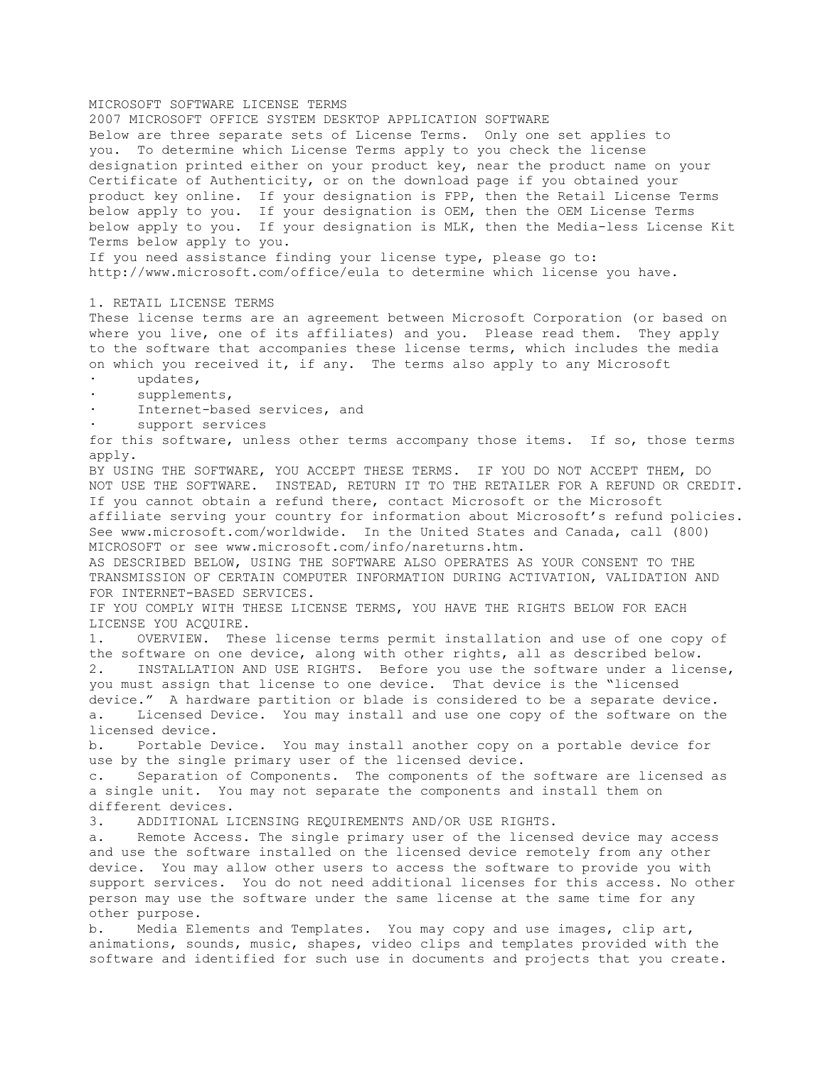MICROSOFT SOFTWARE LICENSE TERMS 2007 MICROSOFT OFFICE SYSTEM DESKTOP APPLICATION SOFTWARE Below are three separate sets of License Terms. Only one set applies to you. To determine which License Terms apply to you check the license designation printed either on your product key, near the product name on your Certificate of Authenticity, or on the download page if you obtained your product key online. If your designation is FPP, then the Retail License Terms below apply to you. If your designation is OEM, then the OEM License Terms below apply to you. If your designation is MLK, then the Media-less License Kit Terms below apply to you. If you need assistance finding your license type, please go to: http://www.microsoft.com/office/eula to determine which license you have. 1. RETAIL LICENSE TERMS These license terms are an agreement between Microsoft Corporation (or based on where you live, one of its affiliates) and you. Please read them. They apply to the software that accompanies these license terms, which includes the media on which you received it, if any. The terms also apply to any Microsoft · updates, supplements, Internet-based services, and support services for this software, unless other terms accompany those items. If so, those terms apply. BY USING THE SOFTWARE, YOU ACCEPT THESE TERMS. IF YOU DO NOT ACCEPT THEM, DO NOT USE THE SOFTWARE. INSTEAD, RETURN IT TO THE RETAILER FOR A REFUND OR CREDIT. If you cannot obtain a refund there, contact Microsoft or the Microsoft affiliate serving your country for information about Microsoft's refund policies. See www.microsoft.com/worldwide. In the United States and Canada, call (800) MICROSOFT or see www.microsoft.com/info/nareturns.htm. AS DESCRIBED BELOW, USING THE SOFTWARE ALSO OPERATES AS YOUR CONSENT TO THE TRANSMISSION OF CERTAIN COMPUTER INFORMATION DURING ACTIVATION, VALIDATION AND FOR INTERNET-BASED SERVICES. IF YOU COMPLY WITH THESE LICENSE TERMS, YOU HAVE THE RIGHTS BELOW FOR EACH LICENSE YOU ACQUIRE. 1. OVERVIEW. These license terms permit installation and use of one copy of the software on one device, along with other rights, all as described below. 2. INSTALLATION AND USE RIGHTS. Before you use the software under a license, you must assign that license to one device. That device is the "licensed device." A hardware partition or blade is considered to be a separate device. a. Licensed Device. You may install and use one copy of the software on the licensed device. b. Portable Device. You may install another copy on a portable device for use by the single primary user of the licensed device. c. Separation of Components. The components of the software are licensed as a single unit. You may not separate the components and install them on different devices. 3. ADDITIONAL LICENSING REQUIREMENTS AND/OR USE RIGHTS. a. Remote Access. The single primary user of the licensed device may access and use the software installed on the licensed device remotely from any other device. You may allow other users to access the software to provide you with support services. You do not need additional licenses for this access. No other person may use the software under the same license at the same time for any other purpose. b. Media Elements and Templates. You may copy and use images, clip art, animations, sounds, music, shapes, video clips and templates provided with the software and identified for such use in documents and projects that you create.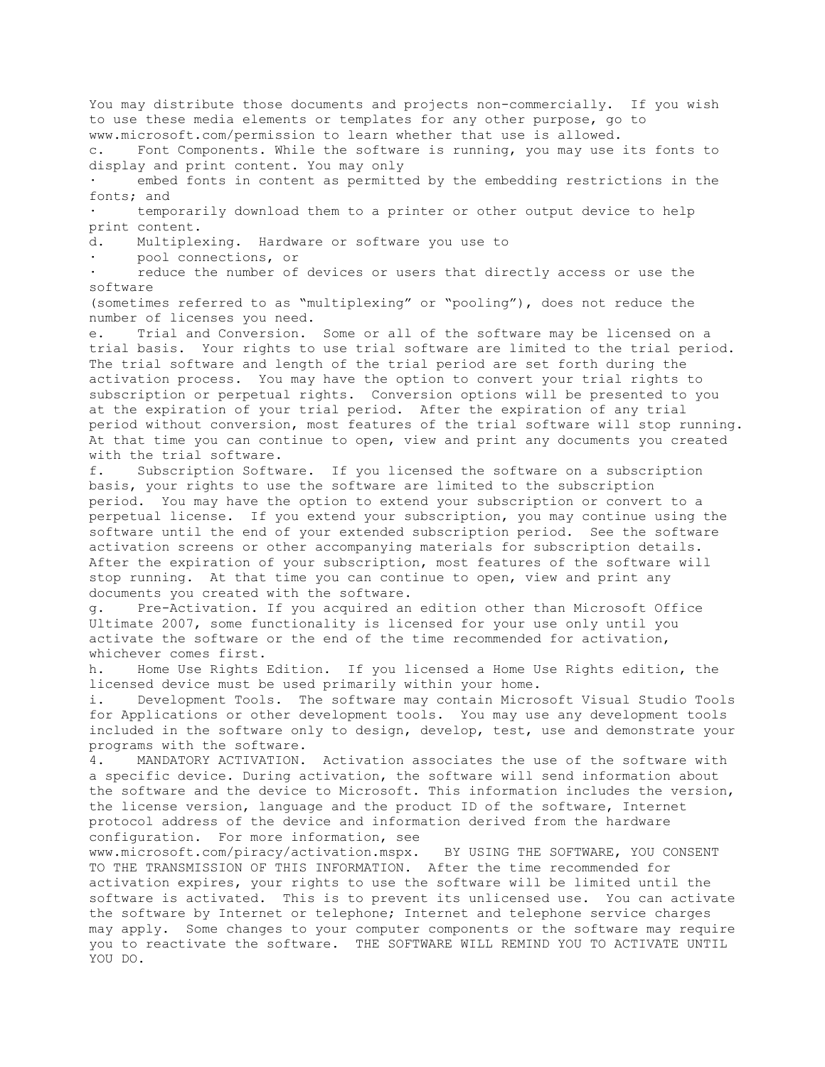You may distribute those documents and projects non-commercially. If you wish to use these media elements or templates for any other purpose, go to www.microsoft.com/permission to learn whether that use is allowed.

c. Font Components. While the software is running, you may use its fonts to display and print content. You may only

embed fonts in content as permitted by the embedding restrictions in the fonts; and

temporarily download them to a printer or other output device to help print content.

d. Multiplexing. Hardware or software you use to

pool connections, or

reduce the number of devices or users that directly access or use the software

(sometimes referred to as "multiplexing" or "pooling"), does not reduce the number of licenses you need.

e. Trial and Conversion. Some or all of the software may be licensed on a trial basis. Your rights to use trial software are limited to the trial period. The trial software and length of the trial period are set forth during the activation process. You may have the option to convert your trial rights to subscription or perpetual rights. Conversion options will be presented to you at the expiration of your trial period. After the expiration of any trial period without conversion, most features of the trial software will stop running. At that time you can continue to open, view and print any documents you created with the trial software.

f. Subscription Software. If you licensed the software on a subscription basis, your rights to use the software are limited to the subscription period. You may have the option to extend your subscription or convert to a perpetual license. If you extend your subscription, you may continue using the software until the end of your extended subscription period. See the software activation screens or other accompanying materials for subscription details. After the expiration of your subscription, most features of the software will stop running. At that time you can continue to open, view and print any documents you created with the software.

g. Pre-Activation. If you acquired an edition other than Microsoft Office Ultimate 2007, some functionality is licensed for your use only until you activate the software or the end of the time recommended for activation, whichever comes first.

h. Home Use Rights Edition. If you licensed a Home Use Rights edition, the licensed device must be used primarily within your home.

i. Development Tools. The software may contain Microsoft Visual Studio Tools for Applications or other development tools. You may use any development tools included in the software only to design, develop, test, use and demonstrate your programs with the software.

4. MANDATORY ACTIVATION. Activation associates the use of the software with a specific device. During activation, the software will send information about the software and the device to Microsoft. This information includes the version, the license version, language and the product ID of the software, Internet protocol address of the device and information derived from the hardware configuration. For more information, see

www.microsoft.com/piracy/activation.mspx. BY USING THE SOFTWARE, YOU CONSENT TO THE TRANSMISSION OF THIS INFORMATION. After the time recommended for activation expires, your rights to use the software will be limited until the software is activated. This is to prevent its unlicensed use. You can activate the software by Internet or telephone; Internet and telephone service charges may apply. Some changes to your computer components or the software may require you to reactivate the software. THE SOFTWARE WILL REMIND YOU TO ACTIVATE UNTIL YOU DO.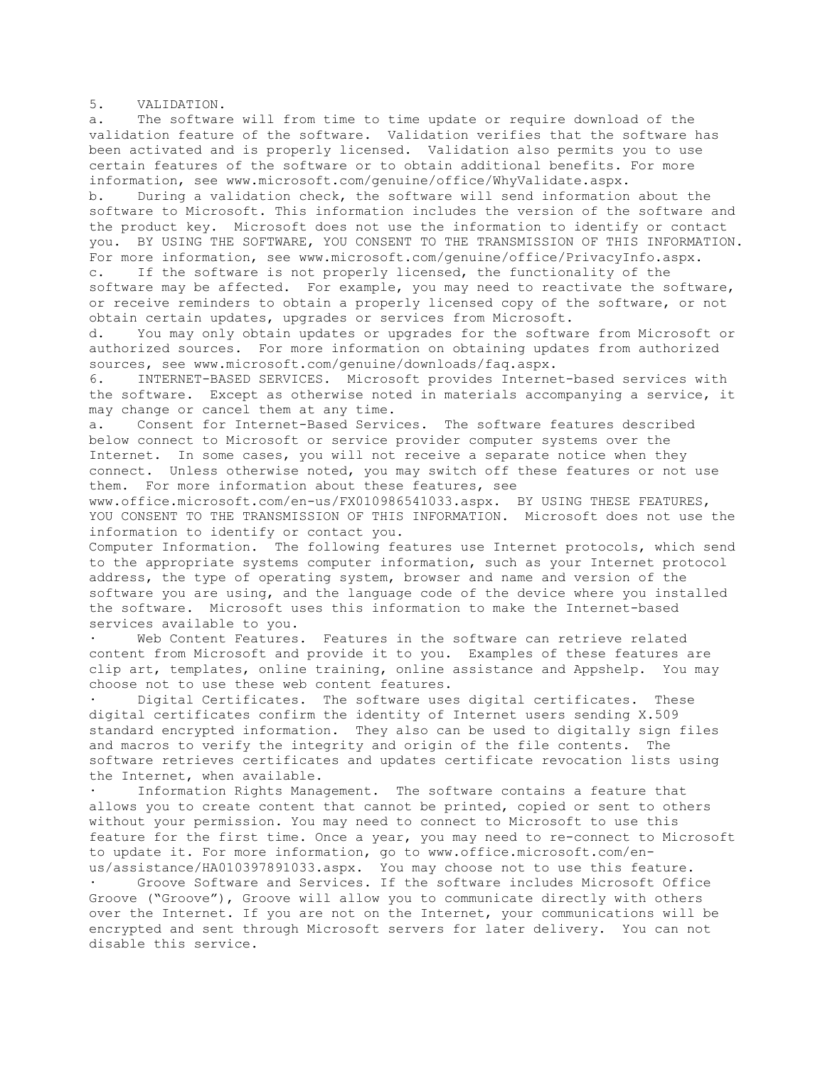5. VALIDATION.

a. The software will from time to time update or require download of the validation feature of the software. Validation verifies that the software has been activated and is properly licensed. Validation also permits you to use certain features of the software or to obtain additional benefits. For more information, see www.microsoft.com/genuine/office/WhyValidate.aspx.

b. During a validation check, the software will send information about the software to Microsoft. This information includes the version of the software and the product key. Microsoft does not use the information to identify or contact you. BY USING THE SOFTWARE, YOU CONSENT TO THE TRANSMISSION OF THIS INFORMATION. For more information, see www.microsoft.com/genuine/office/PrivacyInfo.aspx. c. If the software is not properly licensed, the functionality of the

software may be affected. For example, you may need to reactivate the software, or receive reminders to obtain a properly licensed copy of the software, or not obtain certain updates, upgrades or services from Microsoft.

d. You may only obtain updates or upgrades for the software from Microsoft or authorized sources. For more information on obtaining updates from authorized sources, see www.microsoft.com/genuine/downloads/faq.aspx.

6. INTERNET-BASED SERVICES. Microsoft provides Internet-based services with the software. Except as otherwise noted in materials accompanying a service, it may change or cancel them at any time.

a. Consent for Internet-Based Services. The software features described below connect to Microsoft or service provider computer systems over the Internet. In some cases, you will not receive a separate notice when they connect. Unless otherwise noted, you may switch off these features or not use them. For more information about these features, see

www.office.microsoft.com/en-us/FX010986541033.aspx. BY USING THESE FEATURES, YOU CONSENT TO THE TRANSMISSION OF THIS INFORMATION. Microsoft does not use the information to identify or contact you.

Computer Information. The following features use Internet protocols, which send to the appropriate systems computer information, such as your Internet protocol address, the type of operating system, browser and name and version of the software you are using, and the language code of the device where you installed the software. Microsoft uses this information to make the Internet-based services available to you.

Web Content Features. Features in the software can retrieve related content from Microsoft and provide it to you. Examples of these features are clip art, templates, online training, online assistance and Appshelp. You may choose not to use these web content features.

Digital Certificates. The software uses digital certificates. These digital certificates confirm the identity of Internet users sending X.509 standard encrypted information. They also can be used to digitally sign files and macros to verify the integrity and origin of the file contents. The software retrieves certificates and updates certificate revocation lists using the Internet, when available.

Information Rights Management. The software contains a feature that allows you to create content that cannot be printed, copied or sent to others without your permission. You may need to connect to Microsoft to use this feature for the first time. Once a year, you may need to re-connect to Microsoft to update it. For more information, go to www.office.microsoft.com/en-

us/assistance/HA010397891033.aspx. You may choose not to use this feature. · Groove Software and Services. If the software includes Microsoft Office Groove ("Groove"), Groove will allow you to communicate directly with others over the Internet. If you are not on the Internet, your communications will be encrypted and sent through Microsoft servers for later delivery. You can not disable this service.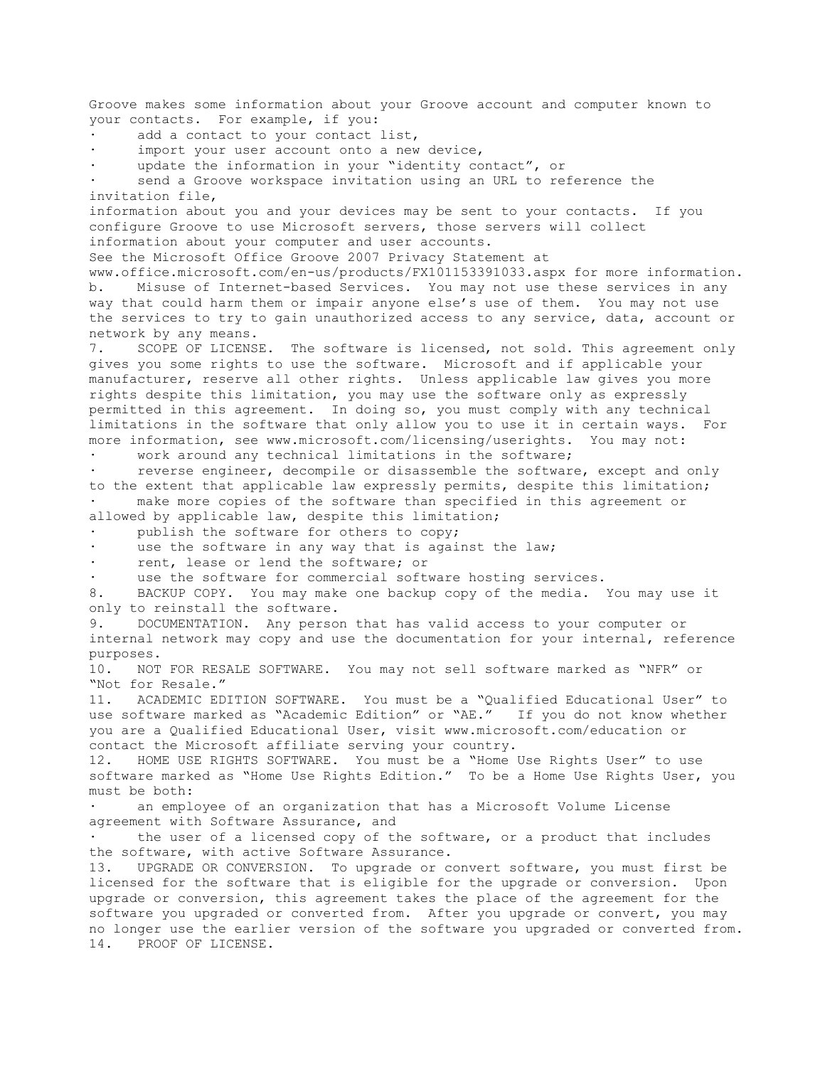Groove makes some information about your Groove account and computer known to your contacts. For example, if you: add a contact to your contact list, import your user account onto a new device, update the information in your "identity contact", or send a Groove workspace invitation using an URL to reference the invitation file, information about you and your devices may be sent to your contacts. If you configure Groove to use Microsoft servers, those servers will collect information about your computer and user accounts. See the Microsoft Office Groove 2007 Privacy Statement at www.office.microsoft.com/en-us/products/FX101153391033.aspx for more information. b. Misuse of Internet-based Services. You may not use these services in any way that could harm them or impair anyone else's use of them. You may not use the services to try to gain unauthorized access to any service, data, account or network by any means. 7. SCOPE OF LICENSE. The software is licensed, not sold. This agreement only gives you some rights to use the software. Microsoft and if applicable your manufacturer, reserve all other rights. Unless applicable law gives you more rights despite this limitation, you may use the software only as expressly permitted in this agreement. In doing so, you must comply with any technical limitations in the software that only allow you to use it in certain ways. For more information, see www.microsoft.com/licensing/userights. You may not: work around any technical limitations in the software; reverse engineer, decompile or disassemble the software, except and only to the extent that applicable law expressly permits, despite this limitation; make more copies of the software than specified in this agreement or allowed by applicable law, despite this limitation; publish the software for others to copy; use the software in any way that is against the law; rent, lease or lend the software; or use the software for commercial software hosting services. 8. BACKUP COPY. You may make one backup copy of the media. You may use it only to reinstall the software. 9. DOCUMENTATION. Any person that has valid access to your computer or internal network may copy and use the documentation for your internal, reference purposes. 10. NOT FOR RESALE SOFTWARE. You may not sell software marked as "NFR" or "Not for Resale." 11. ACADEMIC EDITION SOFTWARE. You must be a "Qualified Educational User" to use software marked as "Academic Edition" or "AE." If you do not know whether you are a Qualified Educational User, visit www.microsoft.com/education or contact the Microsoft affiliate serving your country. 12. HOME USE RIGHTS SOFTWARE. You must be a "Home Use Rights User" to use software marked as "Home Use Rights Edition." To be a Home Use Rights User, you must be both: an employee of an organization that has a Microsoft Volume License agreement with Software Assurance, and the user of a licensed copy of the software, or a product that includes the software, with active Software Assurance. 13. UPGRADE OR CONVERSION. To upgrade or convert software, you must first be licensed for the software that is eligible for the upgrade or conversion. Upon upgrade or conversion, this agreement takes the place of the agreement for the software you upgraded or converted from. After you upgrade or convert, you may no longer use the earlier version of the software you upgraded or converted from. 14. PROOF OF LICENSE.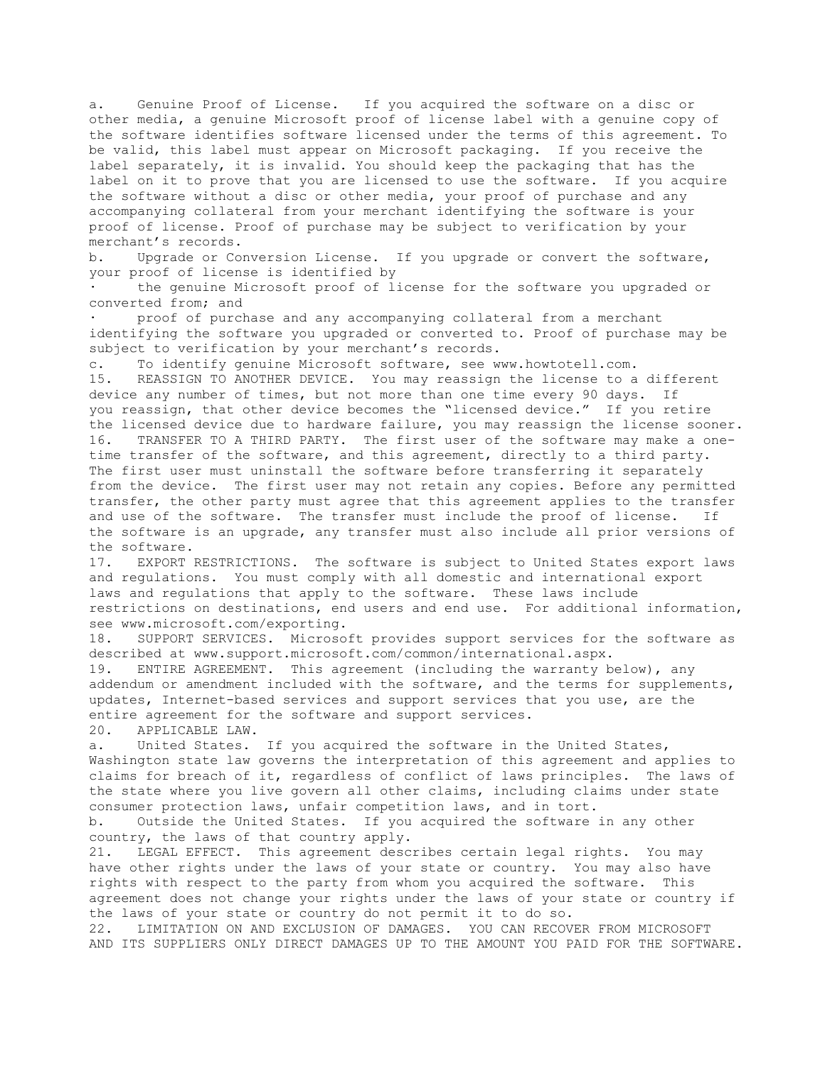a. Genuine Proof of License. If you acquired the software on a disc or other media, a genuine Microsoft proof of license label with a genuine copy of the software identifies software licensed under the terms of this agreement. To be valid, this label must appear on Microsoft packaging. If you receive the label separately, it is invalid. You should keep the packaging that has the label on it to prove that you are licensed to use the software. If you acquire the software without a disc or other media, your proof of purchase and any accompanying collateral from your merchant identifying the software is your proof of license. Proof of purchase may be subject to verification by your merchant's records.

b. Upgrade or Conversion License. If you upgrade or convert the software, your proof of license is identified by

the genuine Microsoft proof of license for the software you upgraded or converted from; and

proof of purchase and any accompanying collateral from a merchant identifying the software you upgraded or converted to. Proof of purchase may be subject to verification by your merchant's records.

c. To identify genuine Microsoft software, see www.howtotell.com.

15. REASSIGN TO ANOTHER DEVICE. You may reassign the license to a different device any number of times, but not more than one time every 90 days. If you reassign, that other device becomes the "licensed device." If you retire the licensed device due to hardware failure, you may reassign the license sooner. 16. TRANSFER TO A THIRD PARTY. The first user of the software may make a onetime transfer of the software, and this agreement, directly to a third party. The first user must uninstall the software before transferring it separately from the device. The first user may not retain any copies. Before any permitted transfer, the other party must agree that this agreement applies to the transfer and use of the software. The transfer must include the proof of license. If the software is an upgrade, any transfer must also include all prior versions of

the software.<br>17. EXPORT EXPORT RESTRICTIONS. The software is subject to United States export laws and regulations. You must comply with all domestic and international export laws and regulations that apply to the software. These laws include restrictions on destinations, end users and end use. For additional information, see www.microsoft.com/exporting.

18. SUPPORT SERVICES. Microsoft provides support services for the software as described at www.support.microsoft.com/common/international.aspx.

19. ENTIRE AGREEMENT. This agreement (including the warranty below), any addendum or amendment included with the software, and the terms for supplements, updates, Internet-based services and support services that you use, are the entire agreement for the software and support services. 20. APPLICABLE LAW.

a. United States. If you acquired the software in the United States, Washington state law governs the interpretation of this agreement and applies to claims for breach of it, regardless of conflict of laws principles. The laws of the state where you live govern all other claims, including claims under state consumer protection laws, unfair competition laws, and in tort.

b. Outside the United States. If you acquired the software in any other country, the laws of that country apply.

21. LEGAL EFFECT. This agreement describes certain legal rights. You may have other rights under the laws of your state or country. You may also have rights with respect to the party from whom you acquired the software. This agreement does not change your rights under the laws of your state or country if the laws of your state or country do not permit it to do so.

22. LIMITATION ON AND EXCLUSION OF DAMAGES. YOU CAN RECOVER FROM MICROSOFT AND ITS SUPPLIERS ONLY DIRECT DAMAGES UP TO THE AMOUNT YOU PAID FOR THE SOFTWARE.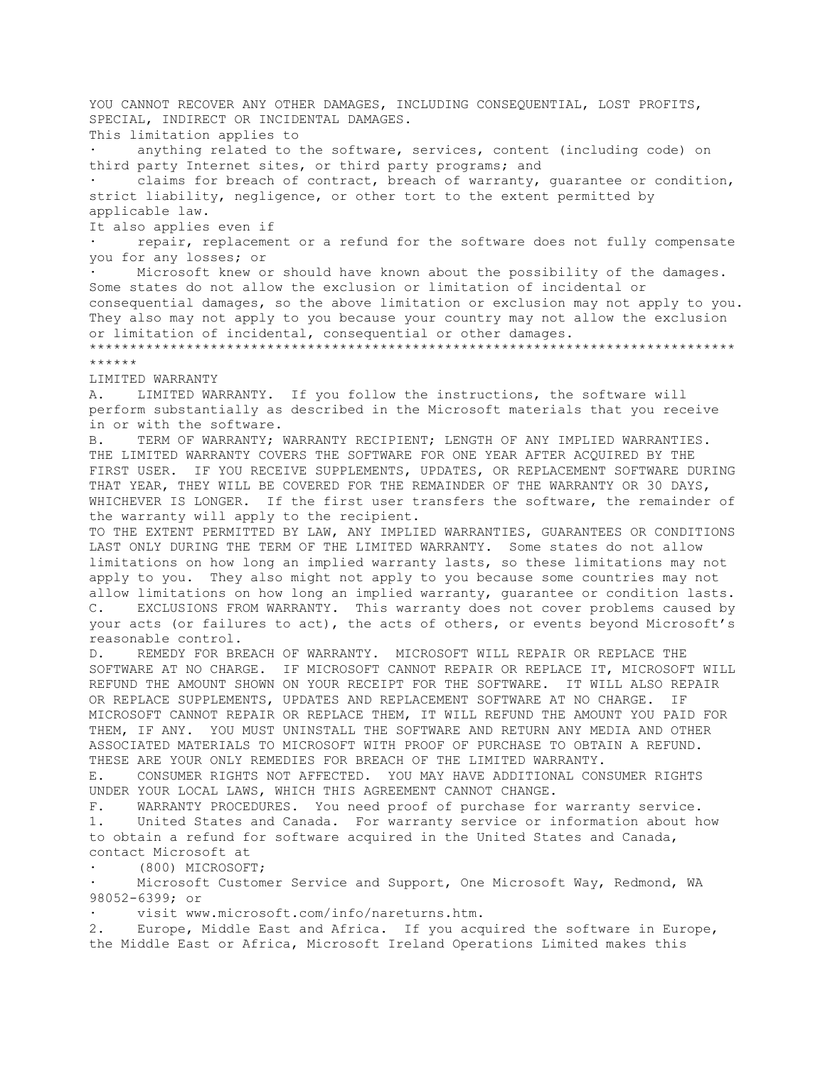YOU CANNOT RECOVER ANY OTHER DAMAGES, INCLUDING CONSEOUENTIAL, LOST PROFITS, SPECIAL, INDIRECT OR INCIDENTAL DAMAGES. This limitation applies to anything related to the software, services, content (including code) on third party Internet sites, or third party programs; and claims for breach of contract, breach of warranty, quarantee or condition, strict liability, negligence, or other tort to the extent permitted by applicable law. It also applies even if repair, replacement or a refund for the software does not fully compensate you for any losses; or Microsoft knew or should have known about the possibility of the damages. Some states do not allow the exclusion or limitation of incidental or consequential damages, so the above limitation or exclusion may not apply to you. They also may not apply to you because your country may not allow the exclusion or limitation of incidental, consequential or other damages. \*\*\*\*\*\*\*\*\*\*\*\*\*\*\*\*\*\*\*\*\*\*\*\*\*\*\*\*\*\*\*\*\*\*\*\*\*\*\*\*\*\*\*\*\*\*\*\*\*\*\*\*\*\*\*\*\*\*\*\*\*\*\*\*\*\*\*\*\*\*\*\*\*\*\*\*\*\*\*\* \*\*\*\*\*\* LIMITED WARRANTY A. LIMITED WARRANTY. If you follow the instructions, the software will perform substantially as described in the Microsoft materials that you receive in or with the software. B. TERM OF WARRANTY; WARRANTY RECIPIENT; LENGTH OF ANY IMPLIED WARRANTIES. THE LIMITED WARRANTY COVERS THE SOFTWARE FOR ONE YEAR AFTER ACQUIRED BY THE FIRST USER. IF YOU RECEIVE SUPPLEMENTS, UPDATES, OR REPLACEMENT SOFTWARE DURING THAT YEAR, THEY WILL BE COVERED FOR THE REMAINDER OF THE WARRANTY OR 30 DAYS, WHICHEVER IS LONGER. If the first user transfers the software, the remainder of the warranty will apply to the recipient. TO THE EXTENT PERMITTED BY LAW, ANY IMPLIED WARRANTIES, GUARANTEES OR CONDITIONS LAST ONLY DURING THE TERM OF THE LIMITED WARRANTY. Some states do not allow limitations on how long an implied warranty lasts, so these limitations may not apply to you. They also might not apply to you because some countries may not allow limitations on how long an implied warranty, guarantee or condition lasts. C. EXCLUSIONS FROM WARRANTY. This warranty does not cover problems caused by your acts (or failures to act), the acts of others, or events beyond Microsoft's reasonable control. D. REMEDY FOR BREACH OF WARRANTY. MICROSOFT WILL REPAIR OR REPLACE THE SOFTWARE AT NO CHARGE. IF MICROSOFT CANNOT REPAIR OR REPLACE IT, MICROSOFT WILL REFUND THE AMOUNT SHOWN ON YOUR RECEIPT FOR THE SOFTWARE. IT WILL ALSO REPAIR OR REPLACE SUPPLEMENTS, UPDATES AND REPLACEMENT SOFTWARE AT NO CHARGE. IF MICROSOFT CANNOT REPAIR OR REPLACE THEM, IT WILL REFUND THE AMOUNT YOU PAID FOR THEM, IF ANY. YOU MUST UNINSTALL THE SOFTWARE AND RETURN ANY MEDIA AND OTHER ASSOCIATED MATERIALS TO MICROSOFT WITH PROOF OF PURCHASE TO OBTAIN A REFUND. THESE ARE YOUR ONLY REMEDIES FOR BREACH OF THE LIMITED WARRANTY. E. CONSUMER RIGHTS NOT AFFECTED. YOU MAY HAVE ADDITIONAL CONSUMER RIGHTS UNDER YOUR LOCAL LAWS, WHICH THIS AGREEMENT CANNOT CHANGE. F. WARRANTY PROCEDURES. You need proof of purchase for warranty service. United States and Canada. For warranty service or information about how to obtain a refund for software acquired in the United States and Canada, contact Microsoft at (800) MICROSOFT; Microsoft Customer Service and Support, One Microsoft Way, Redmond, WA 98052-6399; or visit www.microsoft.com/info/nareturns.htm. 2. Europe, Middle East and Africa. If you acquired the software in Europe,

the Middle East or Africa, Microsoft Ireland Operations Limited makes this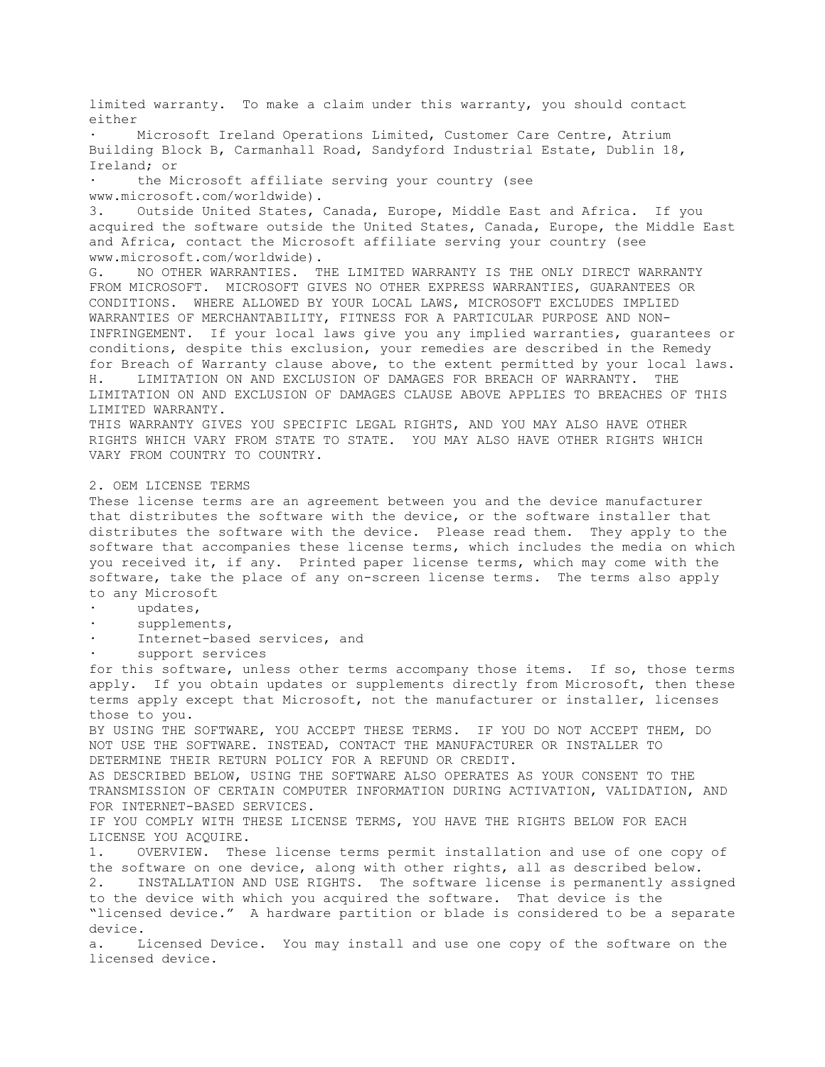limited warranty. To make a claim under this warranty, you should contact either Microsoft Ireland Operations Limited, Customer Care Centre, Atrium Building Block B, Carmanhall Road, Sandyford Industrial Estate, Dublin 18, Ireland; or the Microsoft affiliate serving your country (see www.microsoft.com/worldwide). 3. Outside United States, Canada, Europe, Middle East and Africa. If you acquired the software outside the United States, Canada, Europe, the Middle East and Africa, contact the Microsoft affiliate serving your country (see www.microsoft.com/worldwide). G. NO OTHER WARRANTIES. THE LIMITED WARRANTY IS THE ONLY DIRECT WARRANTY FROM MICROSOFT. MICROSOFT GIVES NO OTHER EXPRESS WARRANTIES, GUARANTEES OR CONDITIONS. WHERE ALLOWED BY YOUR LOCAL LAWS, MICROSOFT EXCLUDES IMPLIED WARRANTIES OF MERCHANTABILITY, FITNESS FOR A PARTICULAR PURPOSE AND NON-INFRINGEMENT. If your local laws give you any implied warranties, guarantees or conditions, despite this exclusion, your remedies are described in the Remedy for Breach of Warranty clause above, to the extent permitted by your local laws. H. LIMITATION ON AND EXCLUSION OF DAMAGES FOR BREACH OF WARRANTY. THE LIMITATION ON AND EXCLUSION OF DAMAGES CLAUSE ABOVE APPLIES TO BREACHES OF THIS LIMITED WARRANTY. THIS WARRANTY GIVES YOU SPECIFIC LEGAL RIGHTS, AND YOU MAY ALSO HAVE OTHER RIGHTS WHICH VARY FROM STATE TO STATE. YOU MAY ALSO HAVE OTHER RIGHTS WHICH VARY FROM COUNTRY TO COUNTRY. 2. OEM LICENSE TERMS These license terms are an agreement between you and the device manufacturer that distributes the software with the device, or the software installer that distributes the software with the device. Please read them. They apply to the software that accompanies these license terms, which includes the media on which you received it, if any. Printed paper license terms, which may come with the software, take the place of any on-screen license terms. The terms also apply to any Microsoft · updates, supplements, Internet-based services, and support services for this software, unless other terms accompany those items. If so, those terms apply. If you obtain updates or supplements directly from Microsoft, then these terms apply except that Microsoft, not the manufacturer or installer, licenses those to you. BY USING THE SOFTWARE, YOU ACCEPT THESE TERMS. IF YOU DO NOT ACCEPT THEM, DO NOT USE THE SOFTWARE. INSTEAD, CONTACT THE MANUFACTURER OR INSTALLER TO DETERMINE THEIR RETURN POLICY FOR A REFUND OR CREDIT. AS DESCRIBED BELOW, USING THE SOFTWARE ALSO OPERATES AS YOUR CONSENT TO THE TRANSMISSION OF CERTAIN COMPUTER INFORMATION DURING ACTIVATION, VALIDATION, AND FOR INTERNET-BASED SERVICES. IF YOU COMPLY WITH THESE LICENSE TERMS, YOU HAVE THE RIGHTS BELOW FOR EACH LICENSE YOU ACQUIRE. 1. OVERVIEW. These license terms permit installation and use of one copy of the software on one device, along with other rights, all as described below. 2. INSTALLATION AND USE RIGHTS. The software license is permanently assigned to the device with which you acquired the software. That device is the "licensed device." A hardware partition or blade is considered to be a separate device. a. Licensed Device. You may install and use one copy of the software on the licensed device.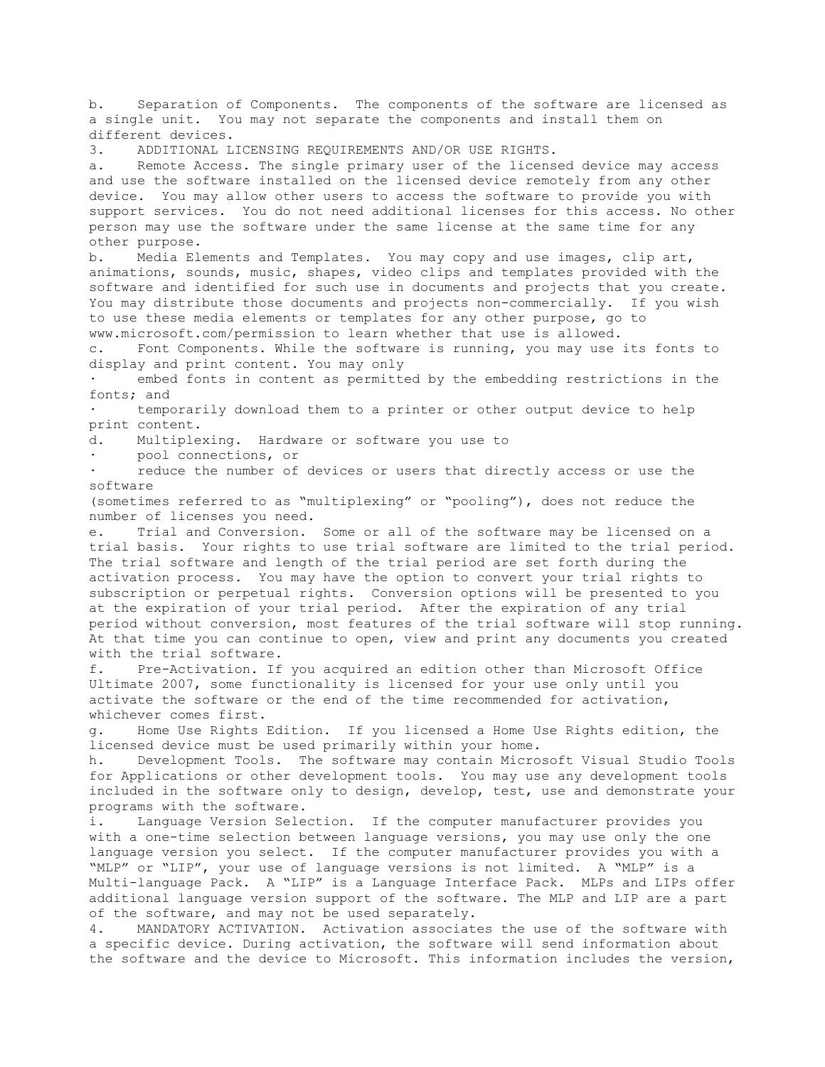b. Separation of Components. The components of the software are licensed as a single unit. You may not separate the components and install them on different devices. 3. ADDITIONAL LICENSING REQUIREMENTS AND/OR USE RIGHTS. a. Remote Access. The single primary user of the licensed device may access and use the software installed on the licensed device remotely from any other device. You may allow other users to access the software to provide you with support services. You do not need additional licenses for this access. No other person may use the software under the same license at the same time for any other purpose. b. Media Elements and Templates. You may copy and use images, clip art, animations, sounds, music, shapes, video clips and templates provided with the software and identified for such use in documents and projects that you create. You may distribute those documents and projects non-commercially. If you wish to use these media elements or templates for any other purpose, go to www.microsoft.com/permission to learn whether that use is allowed. c. Font Components. While the software is running, you may use its fonts to display and print content. You may only embed fonts in content as permitted by the embedding restrictions in the fonts; and temporarily download them to a printer or other output device to help print content. d. Multiplexing. Hardware or software you use to pool connections, or reduce the number of devices or users that directly access or use the software (sometimes referred to as "multiplexing" or "pooling"), does not reduce the number of licenses you need. e. Trial and Conversion. Some or all of the software may be licensed on a trial basis. Your rights to use trial software are limited to the trial period. The trial software and length of the trial period are set forth during the activation process. You may have the option to convert your trial rights to subscription or perpetual rights. Conversion options will be presented to you at the expiration of your trial period. After the expiration of any trial period without conversion, most features of the trial software will stop running. At that time you can continue to open, view and print any documents you created with the trial software. f. Pre-Activation. If you acquired an edition other than Microsoft Office Ultimate 2007, some functionality is licensed for your use only until you activate the software or the end of the time recommended for activation, whichever comes first. g. Home Use Rights Edition. If you licensed a Home Use Rights edition, the licensed device must be used primarily within your home. h. Development Tools. The software may contain Microsoft Visual Studio Tools for Applications or other development tools. You may use any development tools included in the software only to design, develop, test, use and demonstrate your programs with the software. i. Language Version Selection. If the computer manufacturer provides you with a one-time selection between language versions, you may use only the one language version you select. If the computer manufacturer provides you with a "MLP" or "LIP", your use of language versions is not limited. A "MLP" is a Multi-language Pack. A "LIP" is a Language Interface Pack. MLPs and LIPs offer additional language version support of the software. The MLP and LIP are a part of the software, and may not be used separately. 4. MANDATORY ACTIVATION. Activation associates the use of the software with

a specific device. During activation, the software will send information about the software and the device to Microsoft. This information includes the version,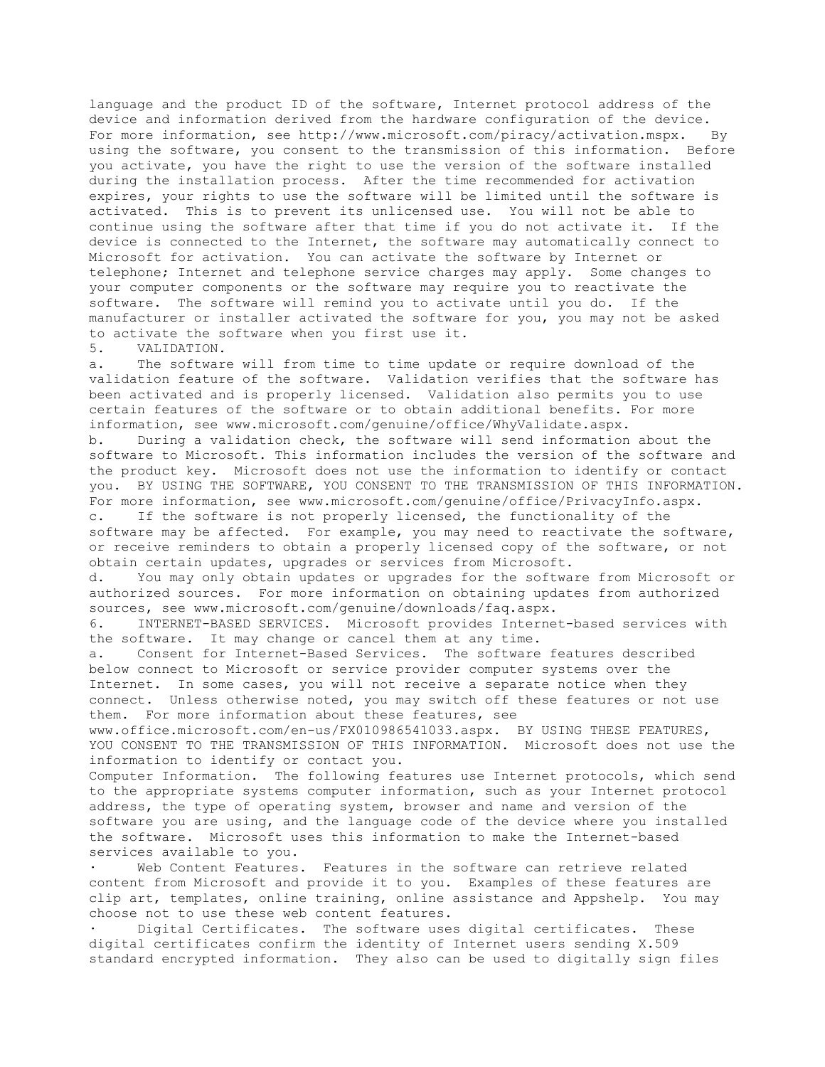language and the product ID of the software, Internet protocol address of the device and information derived from the hardware configuration of the device. For more information, see http://www.microsoft.com/piracy/activation.mspx. By using the software, you consent to the transmission of this information. Before you activate, you have the right to use the version of the software installed during the installation process. After the time recommended for activation expires, your rights to use the software will be limited until the software is activated. This is to prevent its unlicensed use. You will not be able to continue using the software after that time if you do not activate it. If the device is connected to the Internet, the software may automatically connect to Microsoft for activation. You can activate the software by Internet or telephone; Internet and telephone service charges may apply. Some changes to your computer components or the software may require you to reactivate the software. The software will remind you to activate until you do. If the manufacturer or installer activated the software for you, you may not be asked to activate the software when you first use it.

## 5. VALIDATION.

a. The software will from time to time update or require download of the validation feature of the software. Validation verifies that the software has been activated and is properly licensed. Validation also permits you to use certain features of the software or to obtain additional benefits. For more information, see www.microsoft.com/genuine/office/WhyValidate.aspx.

b. During a validation check, the software will send information about the software to Microsoft. This information includes the version of the software and the product key. Microsoft does not use the information to identify or contact you. BY USING THE SOFTWARE, YOU CONSENT TO THE TRANSMISSION OF THIS INFORMATION. For more information, see www.microsoft.com/genuine/office/PrivacyInfo.aspx. c. If the software is not properly licensed, the functionality of the software may be affected. For example, you may need to reactivate the software, or receive reminders to obtain a properly licensed copy of the software, or not obtain certain updates, upgrades or services from Microsoft.<br>d. You may only obtain updates or upgrades for the softwa

You may only obtain updates or upgrades for the software from Microsoft or authorized sources. For more information on obtaining updates from authorized sources, see www.microsoft.com/genuine/downloads/faq.aspx.

6. INTERNET-BASED SERVICES. Microsoft provides Internet-based services with the software. It may change or cancel them at any time.

a. Consent for Internet-Based Services. The software features described below connect to Microsoft or service provider computer systems over the Internet. In some cases, you will not receive a separate notice when they connect. Unless otherwise noted, you may switch off these features or not use them. For more information about these features, see

www.office.microsoft.com/en-us/FX010986541033.aspx. BY USING THESE FEATURES, YOU CONSENT TO THE TRANSMISSION OF THIS INFORMATION. Microsoft does not use the information to identify or contact you.

Computer Information. The following features use Internet protocols, which send to the appropriate systems computer information, such as your Internet protocol address, the type of operating system, browser and name and version of the software you are using, and the language code of the device where you installed the software. Microsoft uses this information to make the Internet-based services available to you.

Web Content Features. Features in the software can retrieve related content from Microsoft and provide it to you. Examples of these features are clip art, templates, online training, online assistance and Appshelp. You may choose not to use these web content features.

Digital Certificates. The software uses digital certificates. These digital certificates confirm the identity of Internet users sending X.509 standard encrypted information. They also can be used to digitally sign files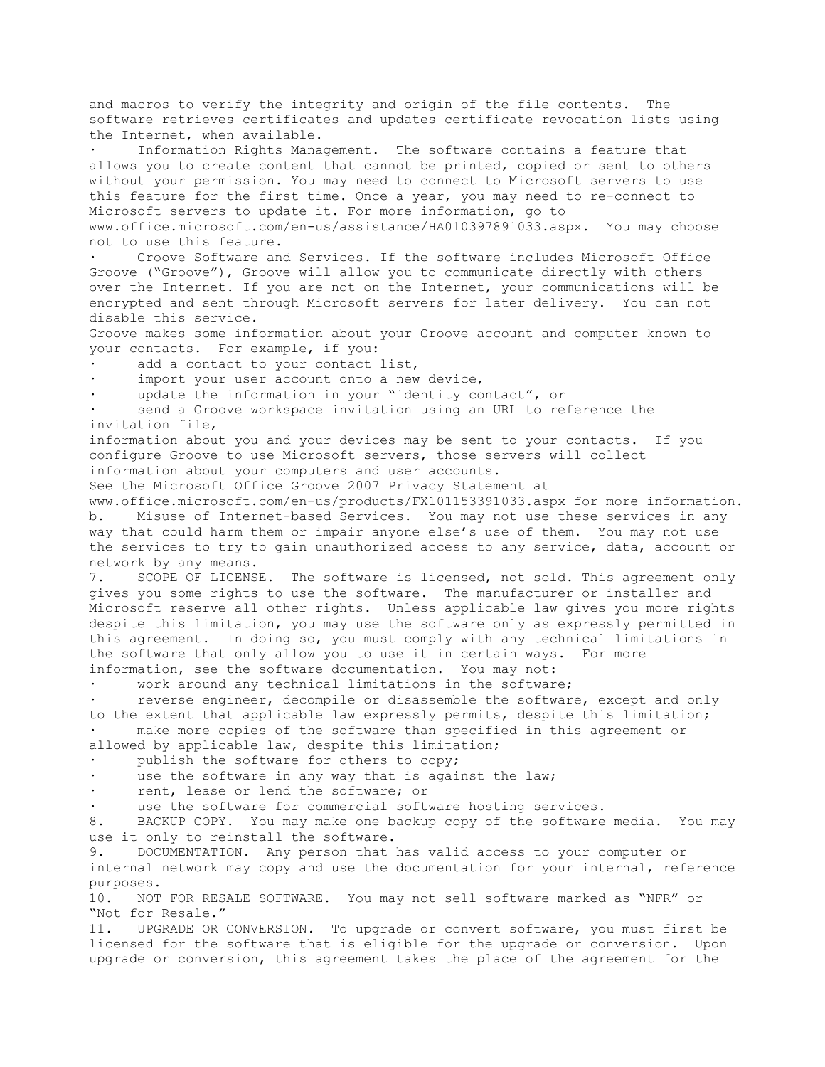and macros to verify the integrity and origin of the file contents. The software retrieves certificates and updates certificate revocation lists using the Internet, when available.

Information Rights Management. The software contains a feature that allows you to create content that cannot be printed, copied or sent to others without your permission. You may need to connect to Microsoft servers to use this feature for the first time. Once a year, you may need to re-connect to Microsoft servers to update it. For more information, go to www.office.microsoft.com/en-us/assistance/HA010397891033.aspx. You may choose not to use this feature.

Groove Software and Services. If the software includes Microsoft Office Groove ("Groove"), Groove will allow you to communicate directly with others over the Internet. If you are not on the Internet, your communications will be encrypted and sent through Microsoft servers for later delivery. You can not disable this service.

Groove makes some information about your Groove account and computer known to your contacts. For example, if you:

add a contact to your contact list,

import your user account onto a new device,

update the information in your "identity contact", or

send a Groove workspace invitation using an URL to reference the invitation file,

information about you and your devices may be sent to your contacts. If you configure Groove to use Microsoft servers, those servers will collect information about your computers and user accounts.

See the Microsoft Office Groove 2007 Privacy Statement at

www.office.microsoft.com/en-us/products/FX101153391033.aspx for more information. b. Misuse of Internet-based Services. You may not use these services in any way that could harm them or impair anyone else's use of them. You may not use the services to try to gain unauthorized access to any service, data, account or network by any means.

7. SCOPE OF LICENSE. The software is licensed, not sold. This agreement only gives you some rights to use the software. The manufacturer or installer and Microsoft reserve all other rights. Unless applicable law gives you more rights despite this limitation, you may use the software only as expressly permitted in this agreement. In doing so, you must comply with any technical limitations in the software that only allow you to use it in certain ways. For more information, see the software documentation. You may not:

work around any technical limitations in the software;

reverse engineer, decompile or disassemble the software, except and only to the extent that applicable law expressly permits, despite this limitation; make more copies of the software than specified in this agreement or allowed by applicable law, despite this limitation;

publish the software for others to copy;

use the software in any way that is against the law;

rent, lease or lend the software; or

use the software for commercial software hosting services.

8. BACKUP COPY. You may make one backup copy of the software media. You may use it only to reinstall the software.

9. DOCUMENTATION. Any person that has valid access to your computer or internal network may copy and use the documentation for your internal, reference purposes.

10. NOT FOR RESALE SOFTWARE. You may not sell software marked as "NFR" or "Not for Resale."

11. UPGRADE OR CONVERSION. To upgrade or convert software, you must first be licensed for the software that is eligible for the upgrade or conversion. Upon upgrade or conversion, this agreement takes the place of the agreement for the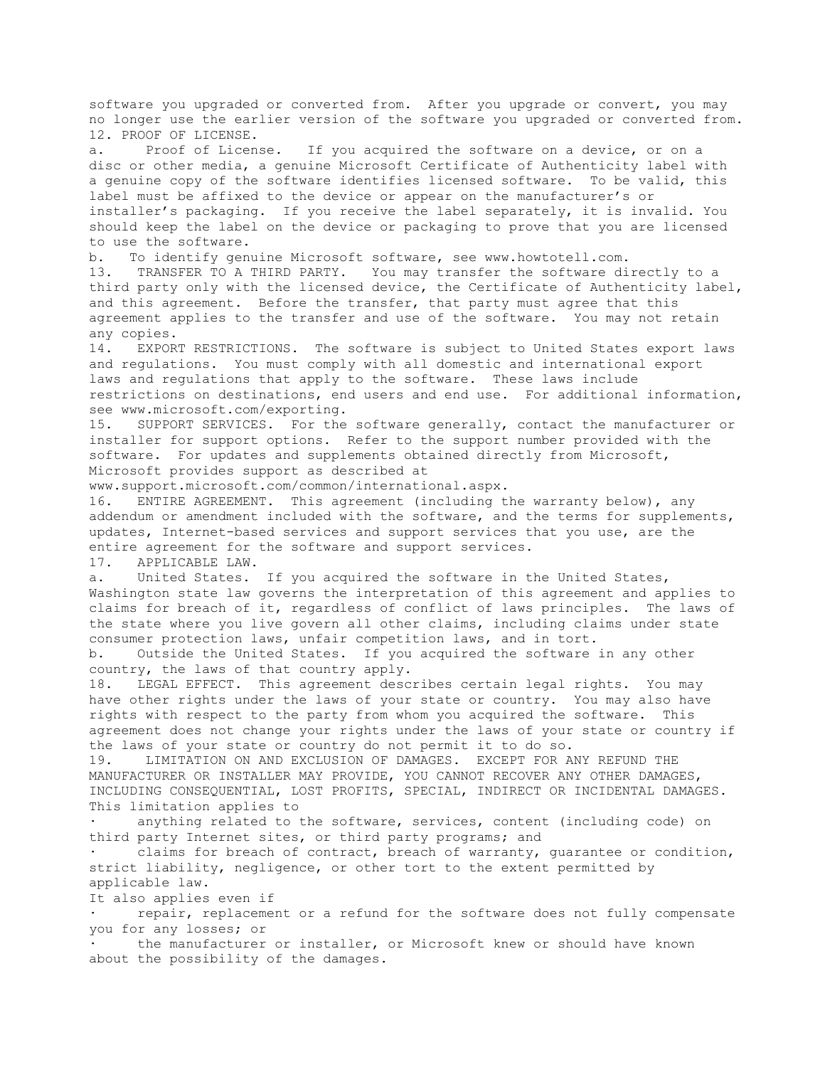software you upgraded or converted from. After you upgrade or convert, you may no longer use the earlier version of the software you upgraded or converted from. 12. PROOF OF LICENSE. a. Proof of License. If you acquired the software on a device, or on a disc or other media, a genuine Microsoft Certificate of Authenticity label with a genuine copy of the software identifies licensed software. To be valid, this label must be affixed to the device or appear on the manufacturer's or installer's packaging. If you receive the label separately, it is invalid. You should keep the label on the device or packaging to prove that you are licensed to use the software. b. To identify genuine Microsoft software, see www.howtotell.com. 13. TRANSFER TO A THIRD PARTY. You may transfer the software directly to a third party only with the licensed device, the Certificate of Authenticity label, and this agreement. Before the transfer, that party must agree that this agreement applies to the transfer and use of the software. You may not retain any copies. 14. EXPORT RESTRICTIONS. The software is subject to United States export laws and regulations. You must comply with all domestic and international export laws and regulations that apply to the software. These laws include restrictions on destinations, end users and end use. For additional information, see www.microsoft.com/exporting. 15. SUPPORT SERVICES. For the software generally, contact the manufacturer or installer for support options. Refer to the support number provided with the software. For updates and supplements obtained directly from Microsoft, Microsoft provides support as described at www.support.microsoft.com/common/international.aspx. 16. ENTIRE AGREEMENT. This agreement (including the warranty below), any addendum or amendment included with the software, and the terms for supplements, updates, Internet-based services and support services that you use, are the entire agreement for the software and support services. 17. APPLICABLE LAW. a. United States. If you acquired the software in the United States, Washington state law governs the interpretation of this agreement and applies to claims for breach of it, regardless of conflict of laws principles. The laws of the state where you live govern all other claims, including claims under state consumer protection laws, unfair competition laws, and in tort. b. Outside the United States. If you acquired the software in any other country, the laws of that country apply. 18. LEGAL EFFECT. This agreement describes certain legal rights. You may have other rights under the laws of your state or country. You may also have rights with respect to the party from whom you acquired the software. This agreement does not change your rights under the laws of your state or country if the laws of your state or country do not permit it to do so. 19. LIMITATION ON AND EXCLUSION OF DAMAGES. EXCEPT FOR ANY REFUND THE MANUFACTURER OR INSTALLER MAY PROVIDE, YOU CANNOT RECOVER ANY OTHER DAMAGES, INCLUDING CONSEQUENTIAL, LOST PROFITS, SPECIAL, INDIRECT OR INCIDENTAL DAMAGES. This limitation applies to anything related to the software, services, content (including code) on third party Internet sites, or third party programs; and claims for breach of contract, breach of warranty, guarantee or condition, strict liability, negligence, or other tort to the extent permitted by applicable law. It also applies even if repair, replacement or a refund for the software does not fully compensate you for any losses; or

the manufacturer or installer, or Microsoft knew or should have known about the possibility of the damages.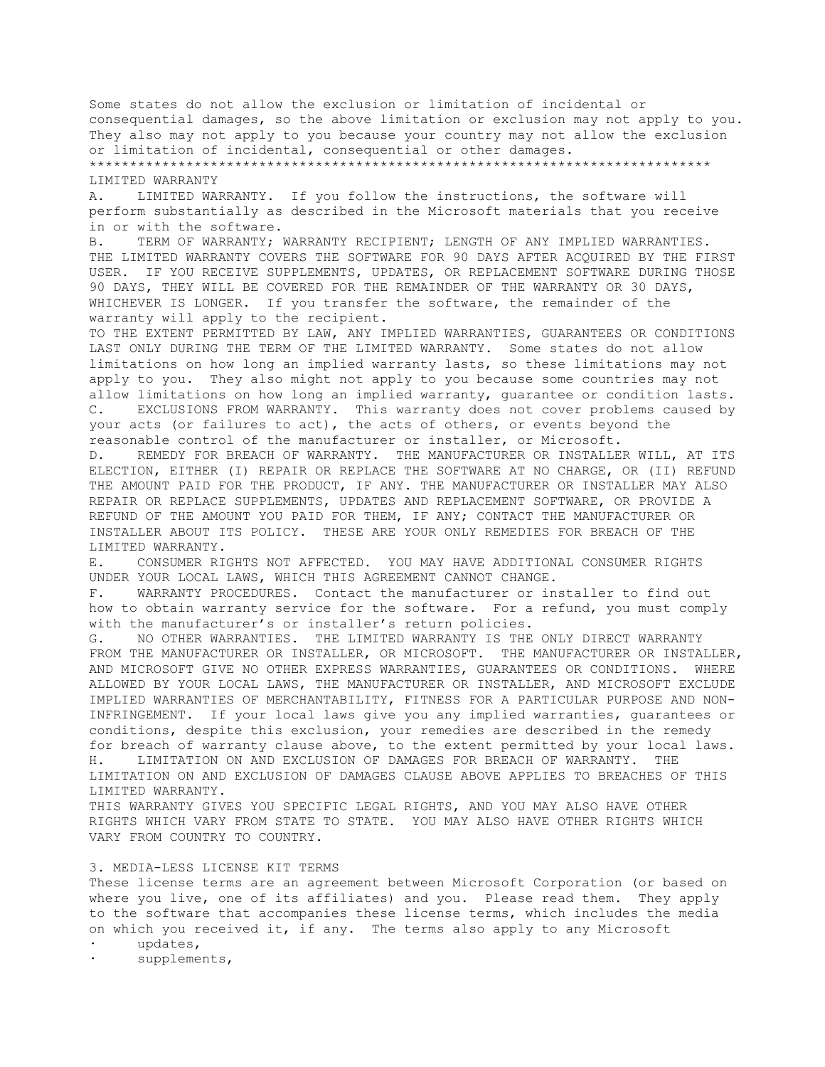Some states do not allow the exclusion or limitation of incidental or consequential damages, so the above limitation or exclusion may not apply to you. They also may not apply to you because your country may not allow the exclusion or limitation of incidental, consequential or other damages. \*\*\*\*\*\*\*\*\*\*\*\*\*\*\*\*\*\*\*\*\*\*\*\*\*\*\*\*\*\*\*\*\*\*\*\*\*\*\*\*\*\*\*\*\*\*\*\*\*\*\*\*\*\*\*\*\*\*\*\*\*\*\*\*\*\*\*\*\*\*\*\*\*\*\*\*\* LIMITED WARRANTY A. LIMITED WARRANTY. If you follow the instructions, the software will perform substantially as described in the Microsoft materials that you receive in or with the software. B. TERM OF WARRANTY; WARRANTY RECIPIENT; LENGTH OF ANY IMPLIED WARRANTIES. THE LIMITED WARRANTY COVERS THE SOFTWARE FOR 90 DAYS AFTER ACQUIRED BY THE FIRST USER. IF YOU RECEIVE SUPPLEMENTS, UPDATES, OR REPLACEMENT SOFTWARE DURING THOSE 90 DAYS, THEY WILL BE COVERED FOR THE REMAINDER OF THE WARRANTY OR 30 DAYS, WHICHEVER IS LONGER. If you transfer the software, the remainder of the warranty will apply to the recipient. TO THE EXTENT PERMITTED BY LAW, ANY IMPLIED WARRANTIES, GUARANTEES OR CONDITIONS LAST ONLY DURING THE TERM OF THE LIMITED WARRANTY. Some states do not allow limitations on how long an implied warranty lasts, so these limitations may not apply to you. They also might not apply to you because some countries may not allow limitations on how long an implied warranty, guarantee or condition lasts. C. EXCLUSIONS FROM WARRANTY. This warranty does not cover problems caused by your acts (or failures to act), the acts of others, or events beyond the reasonable control of the manufacturer or installer, or Microsoft. D. REMEDY FOR BREACH OF WARRANTY. THE MANUFACTURER OR INSTALLER WILL, AT ITS ELECTION, EITHER (I) REPAIR OR REPLACE THE SOFTWARE AT NO CHARGE, OR (II) REFUND THE AMOUNT PAID FOR THE PRODUCT, IF ANY. THE MANUFACTURER OR INSTALLER MAY ALSO REPAIR OR REPLACE SUPPLEMENTS, UPDATES AND REPLACEMENT SOFTWARE, OR PROVIDE A REFUND OF THE AMOUNT YOU PAID FOR THEM, IF ANY; CONTACT THE MANUFACTURER OR INSTALLER ABOUT ITS POLICY. THESE ARE YOUR ONLY REMEDIES FOR BREACH OF THE LIMITED WARRANTY. E. CONSUMER RIGHTS NOT AFFECTED. YOU MAY HAVE ADDITIONAL CONSUMER RIGHTS UNDER YOUR LOCAL LAWS, WHICH THIS AGREEMENT CANNOT CHANGE. F. WARRANTY PROCEDURES. Contact the manufacturer or installer to find out how to obtain warranty service for the software. For a refund, you must comply with the manufacturer's or installer's return policies. G. NO OTHER WARRANTIES. THE LIMITED WARRANTY IS THE ONLY DIRECT WARRANTY FROM THE MANUFACTURER OR INSTALLER, OR MICROSOFT. THE MANUFACTURER OR INSTALLER, AND MICROSOFT GIVE NO OTHER EXPRESS WARRANTIES, GUARANTEES OR CONDITIONS. WHERE ALLOWED BY YOUR LOCAL LAWS, THE MANUFACTURER OR INSTALLER, AND MICROSOFT EXCLUDE IMPLIED WARRANTIES OF MERCHANTABILITY, FITNESS FOR A PARTICULAR PURPOSE AND NON-INFRINGEMENT. If your local laws give you any implied warranties, guarantees or conditions, despite this exclusion, your remedies are described in the remedy for breach of warranty clause above, to the extent permitted by your local laws. H. LIMITATION ON AND EXCLUSION OF DAMAGES FOR BREACH OF WARRANTY. THE LIMITATION ON AND EXCLUSION OF DAMAGES CLAUSE ABOVE APPLIES TO BREACHES OF THIS LIMITED WARRANTY. THIS WARRANTY GIVES YOU SPECIFIC LEGAL RIGHTS, AND YOU MAY ALSO HAVE OTHER RIGHTS WHICH VARY FROM STATE TO STATE. YOU MAY ALSO HAVE OTHER RIGHTS WHICH VARY FROM COUNTRY TO COUNTRY. 3. MEDIA-LESS LICENSE KIT TERMS

These license terms are an agreement between Microsoft Corporation (or based on where you live, one of its affiliates) and you. Please read them. They apply to the software that accompanies these license terms, which includes the media on which you received it, if any. The terms also apply to any Microsoft

- · updates,
- supplements,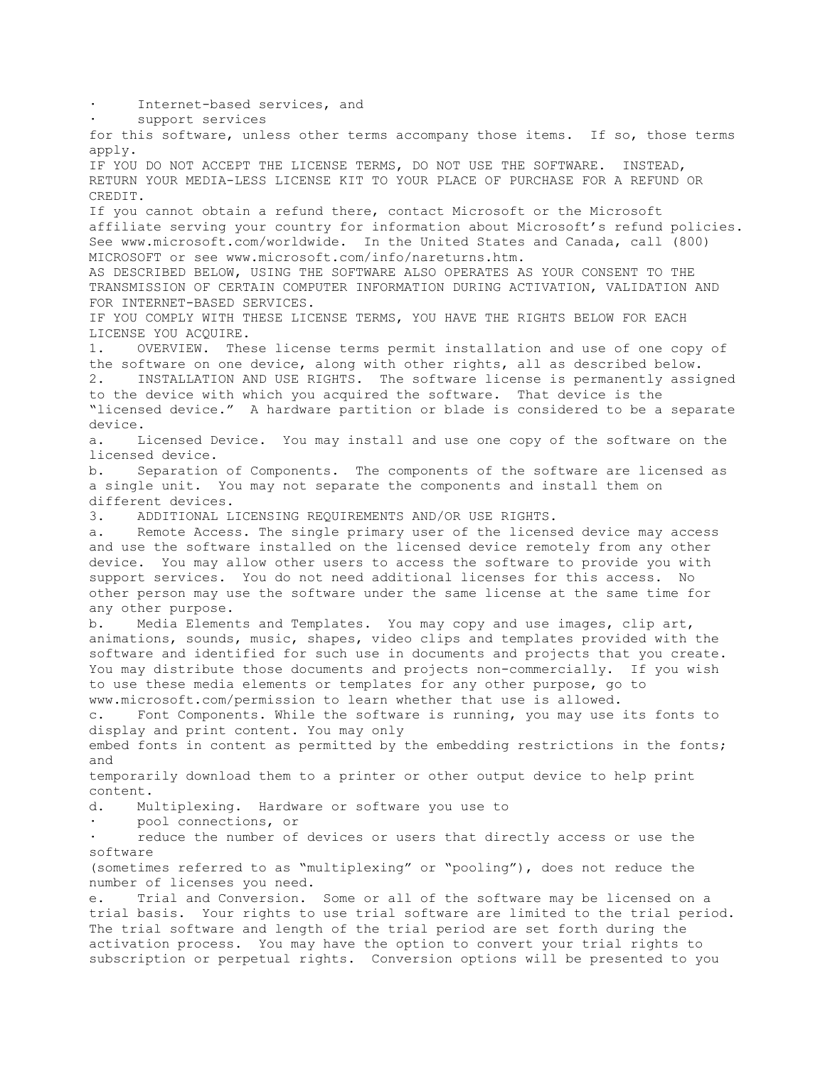Internet-based services, and support services for this software, unless other terms accompany those items. If so, those terms apply. IF YOU DO NOT ACCEPT THE LICENSE TERMS, DO NOT USE THE SOFTWARE. INSTEAD, RETURN YOUR MEDIA-LESS LICENSE KIT TO YOUR PLACE OF PURCHASE FOR A REFUND OR CREDIT. If you cannot obtain a refund there, contact Microsoft or the Microsoft affiliate serving your country for information about Microsoft's refund policies. See www.microsoft.com/worldwide. In the United States and Canada, call (800) MICROSOFT or see www.microsoft.com/info/nareturns.htm. AS DESCRIBED BELOW, USING THE SOFTWARE ALSO OPERATES AS YOUR CONSENT TO THE TRANSMISSION OF CERTAIN COMPUTER INFORMATION DURING ACTIVATION, VALIDATION AND FOR INTERNET-BASED SERVICES. IF YOU COMPLY WITH THESE LICENSE TERMS, YOU HAVE THE RIGHTS BELOW FOR EACH LICENSE YOU ACQUIRE. 1. OVERVIEW. These license terms permit installation and use of one copy of the software on one device, along with other rights, all as described below. 2. INSTALLATION AND USE RIGHTS. The software license is permanently assigned to the device with which you acquired the software. That device is the "licensed device." A hardware partition or blade is considered to be a separate device. a. Licensed Device. You may install and use one copy of the software on the licensed device. b. Separation of Components. The components of the software are licensed as a single unit. You may not separate the components and install them on different devices. 3. ADDITIONAL LICENSING REQUIREMENTS AND/OR USE RIGHTS. a. Remote Access. The single primary user of the licensed device may access and use the software installed on the licensed device remotely from any other device. You may allow other users to access the software to provide you with support services. You do not need additional licenses for this access. No other person may use the software under the same license at the same time for any other purpose. b. Media Elements and Templates. You may copy and use images, clip art, animations, sounds, music, shapes, video clips and templates provided with the software and identified for such use in documents and projects that you create. You may distribute those documents and projects non-commercially. If you wish to use these media elements or templates for any other purpose, go to www.microsoft.com/permission to learn whether that use is allowed. c. Font Components. While the software is running, you may use its fonts to display and print content. You may only embed fonts in content as permitted by the embedding restrictions in the fonts; and temporarily download them to a printer or other output device to help print content. d. Multiplexing. Hardware or software you use to · pool connections, or reduce the number of devices or users that directly access or use the software (sometimes referred to as "multiplexing" or "pooling"), does not reduce the number of licenses you need. e. Trial and Conversion. Some or all of the software may be licensed on a trial basis. Your rights to use trial software are limited to the trial period. The trial software and length of the trial period are set forth during the activation process. You may have the option to convert your trial rights to subscription or perpetual rights. Conversion options will be presented to you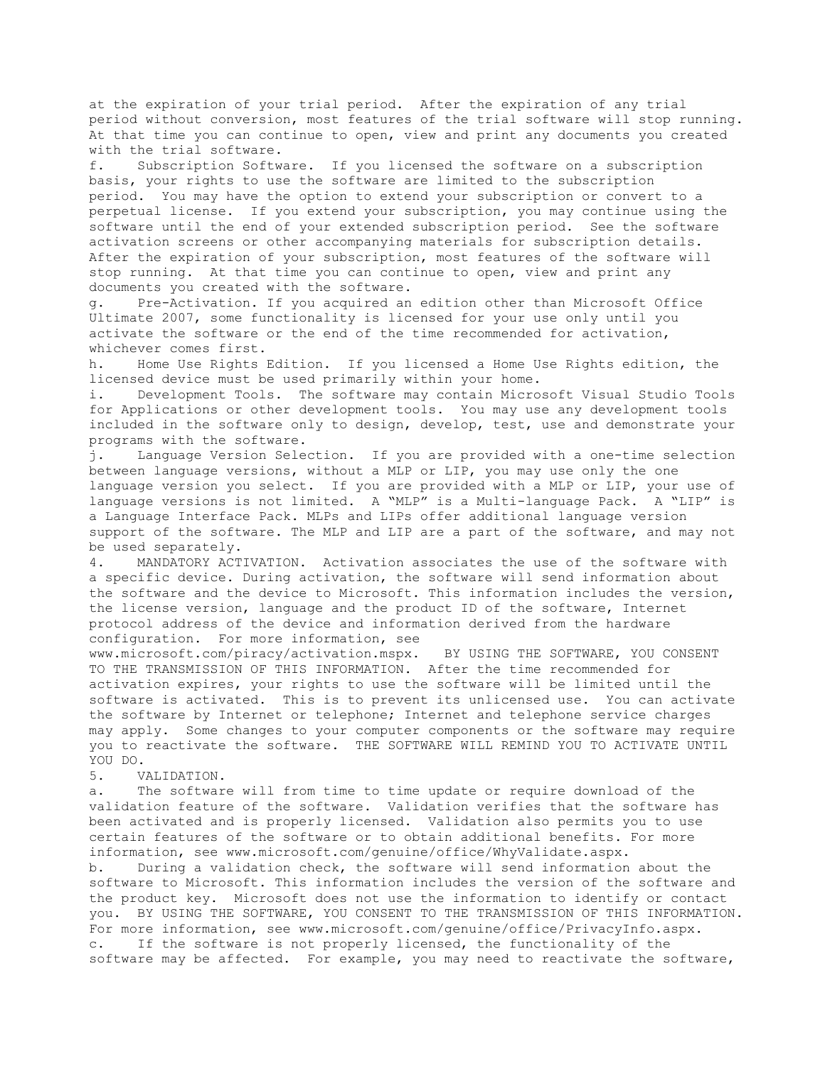at the expiration of your trial period. After the expiration of any trial period without conversion, most features of the trial software will stop running. At that time you can continue to open, view and print any documents you created with the trial software.

f. Subscription Software. If you licensed the software on a subscription basis, your rights to use the software are limited to the subscription period. You may have the option to extend your subscription or convert to a perpetual license. If you extend your subscription, you may continue using the software until the end of your extended subscription period. See the software activation screens or other accompanying materials for subscription details. After the expiration of your subscription, most features of the software will stop running. At that time you can continue to open, view and print any documents you created with the software.

g. Pre-Activation. If you acquired an edition other than Microsoft Office Ultimate 2007, some functionality is licensed for your use only until you activate the software or the end of the time recommended for activation, whichever comes first.

h. Home Use Rights Edition. If you licensed a Home Use Rights edition, the licensed device must be used primarily within your home.

i. Development Tools. The software may contain Microsoft Visual Studio Tools for Applications or other development tools. You may use any development tools included in the software only to design, develop, test, use and demonstrate your programs with the software.

j. Language Version Selection. If you are provided with a one-time selection between language versions, without a MLP or LIP, you may use only the one language version you select. If you are provided with a MLP or LIP, your use of language versions is not limited. A "MLP" is a Multi-language Pack. A "LIP" is a Language Interface Pack. MLPs and LIPs offer additional language version support of the software. The MLP and LIP are a part of the software, and may not be used separately.

4. MANDATORY ACTIVATION. Activation associates the use of the software with a specific device. During activation, the software will send information about the software and the device to Microsoft. This information includes the version, the license version, language and the product ID of the software, Internet protocol address of the device and information derived from the hardware configuration. For more information, see

www.microsoft.com/piracy/activation.mspx. BY USING THE SOFTWARE, YOU CONSENT TO THE TRANSMISSION OF THIS INFORMATION. After the time recommended for activation expires, your rights to use the software will be limited until the software is activated. This is to prevent its unlicensed use. You can activate the software by Internet or telephone; Internet and telephone service charges may apply. Some changes to your computer components or the software may require you to reactivate the software. THE SOFTWARE WILL REMIND YOU TO ACTIVATE UNTIL YOU DO.

## 5. VALIDATION.

a. The software will from time to time update or require download of the validation feature of the software. Validation verifies that the software has been activated and is properly licensed. Validation also permits you to use certain features of the software or to obtain additional benefits. For more information, see www.microsoft.com/genuine/office/WhyValidate.aspx.

b. During a validation check, the software will send information about the software to Microsoft. This information includes the version of the software and the product key. Microsoft does not use the information to identify or contact you. BY USING THE SOFTWARE, YOU CONSENT TO THE TRANSMISSION OF THIS INFORMATION. For more information, see www.microsoft.com/genuine/office/PrivacyInfo.aspx. c. If the software is not properly licensed, the functionality of the software may be affected. For example, you may need to reactivate the software,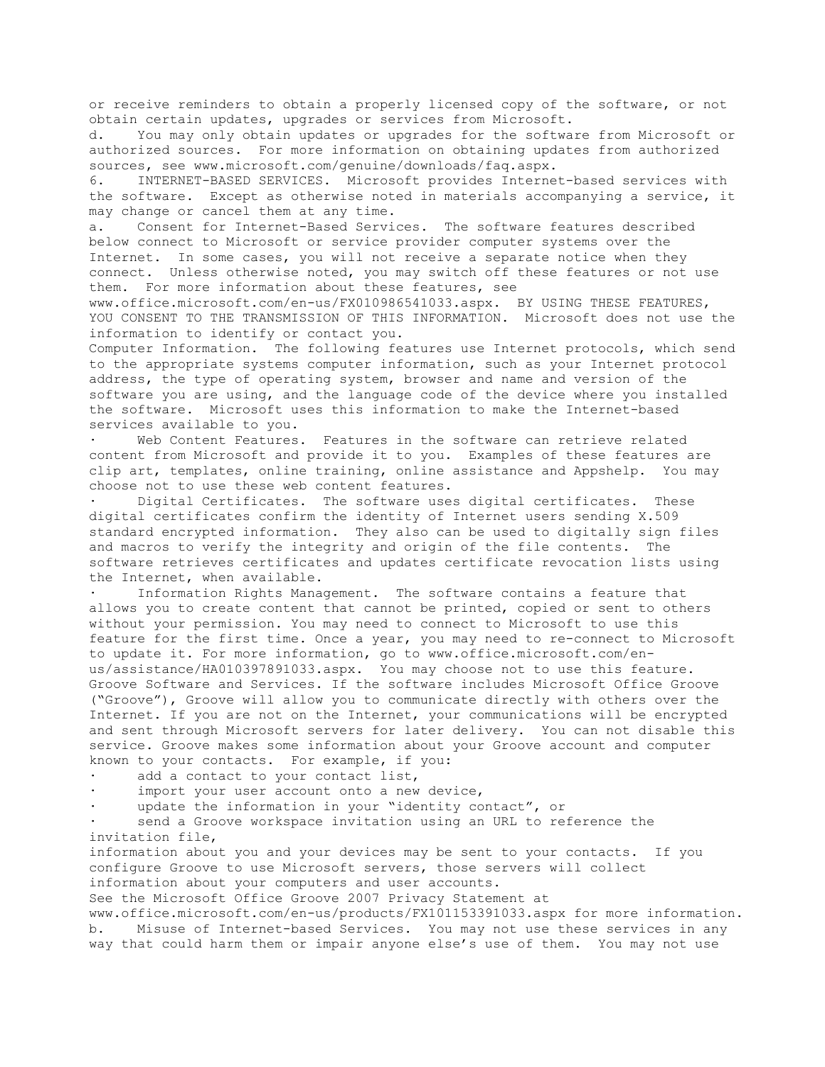or receive reminders to obtain a properly licensed copy of the software, or not obtain certain updates, upgrades or services from Microsoft.

d. You may only obtain updates or upgrades for the software from Microsoft or authorized sources. For more information on obtaining updates from authorized sources, see www.microsoft.com/genuine/downloads/faq.aspx.

6. INTERNET-BASED SERVICES. Microsoft provides Internet-based services with the software. Except as otherwise noted in materials accompanying a service, it may change or cancel them at any time.

a. Consent for Internet-Based Services. The software features described below connect to Microsoft or service provider computer systems over the Internet. In some cases, you will not receive a separate notice when they connect. Unless otherwise noted, you may switch off these features or not use them. For more information about these features, see

www.office.microsoft.com/en-us/FX010986541033.aspx. BY USING THESE FEATURES, YOU CONSENT TO THE TRANSMISSION OF THIS INFORMATION. Microsoft does not use the information to identify or contact you.

Computer Information. The following features use Internet protocols, which send to the appropriate systems computer information, such as your Internet protocol address, the type of operating system, browser and name and version of the software you are using, and the language code of the device where you installed the software. Microsoft uses this information to make the Internet-based services available to you.

Web Content Features. Features in the software can retrieve related content from Microsoft and provide it to you. Examples of these features are clip art, templates, online training, online assistance and Appshelp. You may choose not to use these web content features.

Digital Certificates. The software uses digital certificates. These digital certificates confirm the identity of Internet users sending X.509 standard encrypted information. They also can be used to digitally sign files and macros to verify the integrity and origin of the file contents. The software retrieves certificates and updates certificate revocation lists using the Internet, when available.

Information Rights Management. The software contains a feature that allows you to create content that cannot be printed, copied or sent to others without your permission. You may need to connect to Microsoft to use this feature for the first time. Once a year, you may need to re-connect to Microsoft to update it. For more information, go to www.office.microsoft.com/enus/assistance/HA010397891033.aspx. You may choose not to use this feature. Groove Software and Services. If the software includes Microsoft Office Groove ("Groove"), Groove will allow you to communicate directly with others over the Internet. If you are not on the Internet, your communications will be encrypted and sent through Microsoft servers for later delivery. You can not disable this service. Groove makes some information about your Groove account and computer known to your contacts. For example, if you:

add a contact to your contact list,

import your user account onto a new device,

update the information in your "identity contact", or

send a Groove workspace invitation using an URL to reference the invitation file,

information about you and your devices may be sent to your contacts. If you configure Groove to use Microsoft servers, those servers will collect information about your computers and user accounts.

See the Microsoft Office Groove 2007 Privacy Statement at

www.office.microsoft.com/en-us/products/FX101153391033.aspx for more information. b. Misuse of Internet-based Services. You may not use these services in any way that could harm them or impair anyone else's use of them. You may not use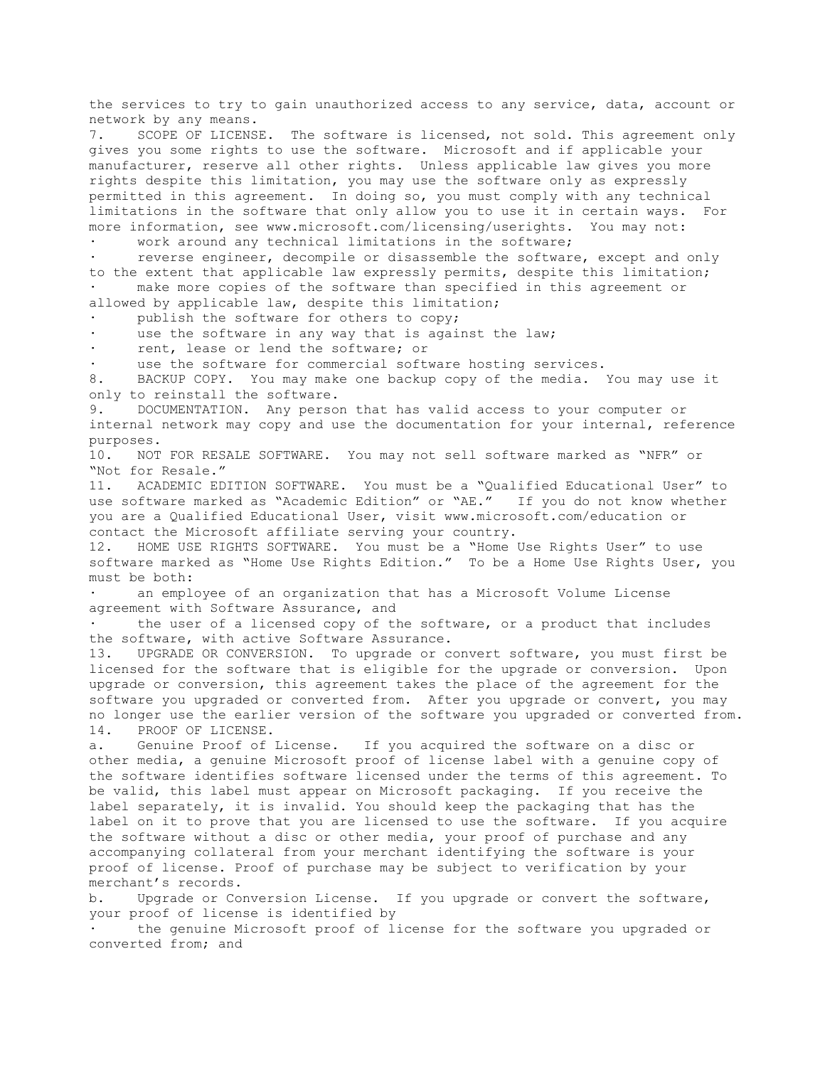the services to try to gain unauthorized access to any service, data, account or network by any means.

7. SCOPE OF LICENSE. The software is licensed, not sold. This agreement only gives you some rights to use the software. Microsoft and if applicable your manufacturer, reserve all other rights. Unless applicable law gives you more rights despite this limitation, you may use the software only as expressly permitted in this agreement. In doing so, you must comply with any technical limitations in the software that only allow you to use it in certain ways. For more information, see www.microsoft.com/licensing/userights. You may not:

work around any technical limitations in the software;

reverse engineer, decompile or disassemble the software, except and only to the extent that applicable law expressly permits, despite this limitation; · make more copies of the software than specified in this agreement or allowed by applicable law, despite this limitation;

publish the software for others to copy;

use the software in any way that is against the law;

rent, lease or lend the software; or

use the software for commercial software hosting services.

8. BACKUP COPY. You may make one backup copy of the media. You may use it only to reinstall the software.

9. DOCUMENTATION. Any person that has valid access to your computer or internal network may copy and use the documentation for your internal, reference purposes.

10. NOT FOR RESALE SOFTWARE. You may not sell software marked as "NFR" or "Not for Resale."

11. ACADEMIC EDITION SOFTWARE. You must be a "Qualified Educational User" to use software marked as "Academic Edition" or "AE." If you do not know whether you are a Qualified Educational User, visit www.microsoft.com/education or contact the Microsoft affiliate serving your country.

12. HOME USE RIGHTS SOFTWARE. You must be a "Home Use Rights User" to use software marked as "Home Use Rights Edition." To be a Home Use Rights User, you must be both:

an employee of an organization that has a Microsoft Volume License agreement with Software Assurance, and

the user of a licensed copy of the software, or a product that includes the software, with active Software Assurance.

13. UPGRADE OR CONVERSION. To upgrade or convert software, you must first be licensed for the software that is eligible for the upgrade or conversion. Upon upgrade or conversion, this agreement takes the place of the agreement for the software you upgraded or converted from. After you upgrade or convert, you may no longer use the earlier version of the software you upgraded or converted from. 14. PROOF OF LICENSE.

a. Genuine Proof of License. If you acquired the software on a disc or other media, a genuine Microsoft proof of license label with a genuine copy of the software identifies software licensed under the terms of this agreement. To be valid, this label must appear on Microsoft packaging. If you receive the label separately, it is invalid. You should keep the packaging that has the label on it to prove that you are licensed to use the software. If you acquire the software without a disc or other media, your proof of purchase and any accompanying collateral from your merchant identifying the software is your proof of license. Proof of purchase may be subject to verification by your merchant's records.

b. Upgrade or Conversion License. If you upgrade or convert the software, your proof of license is identified by

· the genuine Microsoft proof of license for the software you upgraded or converted from; and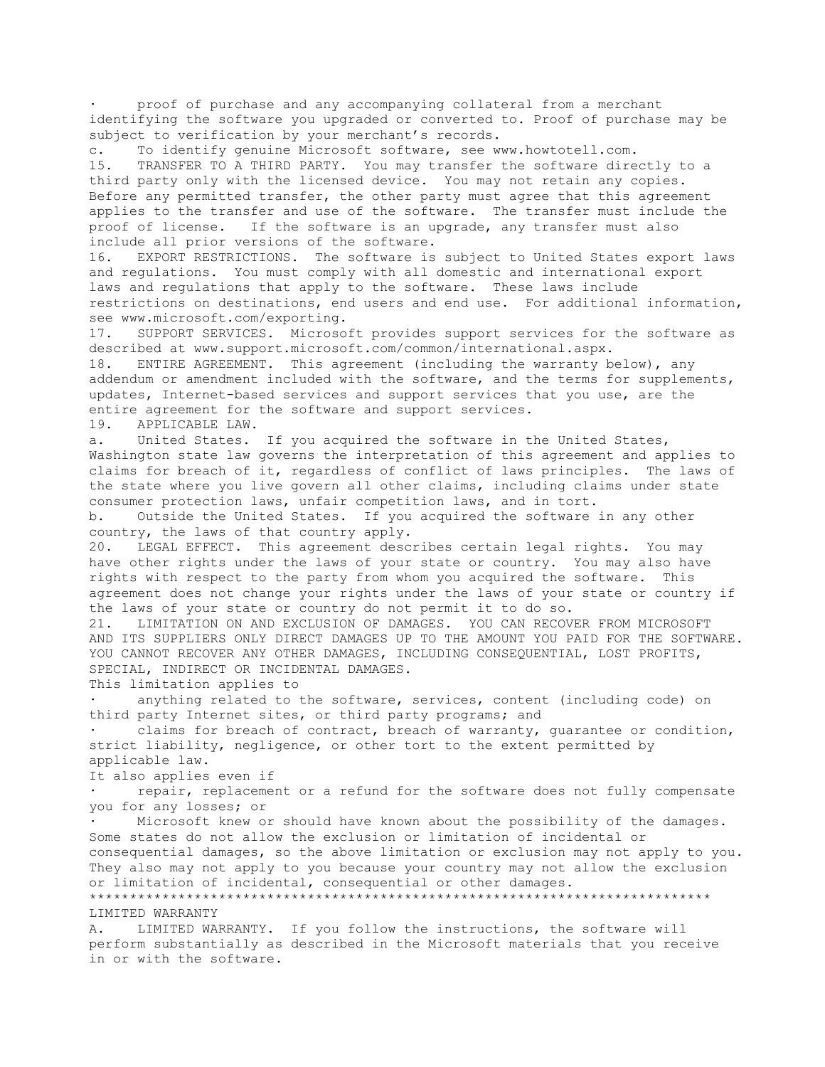proof of purchase and any accompanying collateral from a merchant identifying the software you upgraded or converted to. Proof of purchase may be subject to verification by your merchant's records.

c. To identify genuine Microsoft software, see www.howtotell.com. 15. TRANSFER TO A THIRD PARTY. You may transfer the software directly to a third party only with the licensed device. You may not retain any copies. Before any permitted transfer, the other party must agree that this agreement applies to the transfer and use of the software. The transfer must include the proof of license. If the software is an upgrade, any transfer must also include all prior versions of the software.

16. EXPORT RESTRICTIONS. The software is subject to United States export laws and regulations. You must comply with all domestic and international export laws and regulations that apply to the software. These laws include restrictions on destinations, end users and end use. For additional information, see www.microsoft.com/exporting.

17. SUPPORT SERVICES. Microsoft provides support services for the software as described at www.support.microsoft.com/common/international.aspx. 18. ENTIRE AGREEMENT. This agreement (including the warranty below), any addendum or amendment included with the software, and the terms for supplements,

updates, Internet-based services and support services that you use, are the entire agreement for the software and support services. 19. APPLICABLE LAW.

a. United States. If you acquired the software in the United States, Washington state law governs the interpretation of this agreement and applies to claims for breach of it, regardless of conflict of laws principles. The laws of the state where you live govern all other claims, including claims under state consumer protection laws, unfair competition laws, and in tort.

b. Outside the United States. If you acquired the software in any other country, the laws of that country apply.

20. LEGAL EFFECT. This agreement describes certain legal rights. You may have other rights under the laws of your state or country. You may also have rights with respect to the party from whom you acquired the software. This agreement does not change your rights under the laws of your state or country if the laws of your state or country do not permit it to do so.

21. LIMITATION ON AND EXCLUSION OF DAMAGES. YOU CAN RECOVER FROM MICROSOFT AND ITS SUPPLIERS ONLY DIRECT DAMAGES UP TO THE AMOUNT YOU PAID FOR THE SOFTWARE. YOU CANNOT RECOVER ANY OTHER DAMAGES, INCLUDING CONSEQUENTIAL, LOST PROFITS, SPECIAL, INDIRECT OR INCIDENTAL DAMAGES.

This limitation applies to

· anything related to the software, services, content (including code) on third party Internet sites, or third party programs; and

claims for breach of contract, breach of warranty, guarantee or condition, strict liability, negligence, or other tort to the extent permitted by applicable law.

It also applies even if

repair, replacement or a refund for the software does not fully compensate you for any losses; or

Microsoft knew or should have known about the possibility of the damages. Some states do not allow the exclusion or limitation of incidental or consequential damages, so the above limitation or exclusion may not apply to you. They also may not apply to you because your country may not allow the exclusion or limitation of incidental, consequential or other damages. \*\*\*\*\*\*\*\*\*\*\*\*\*\*\*\*\*\*\*\*\*\*\*\*\*\*\*\*\*\*\*\*\*\*\*\*\*\*\*\*\*\*\*\*\*\*\*\*\*\*\*\*\*\*\*\*\*\*\*\*\*\*\*\*\*\*\*\*\*\*\*\*\*\*\*\*\*

LIMITED WARRANTY

A. LIMITED WARRANTY. If you follow the instructions, the software will perform substantially as described in the Microsoft materials that you receive in or with the software.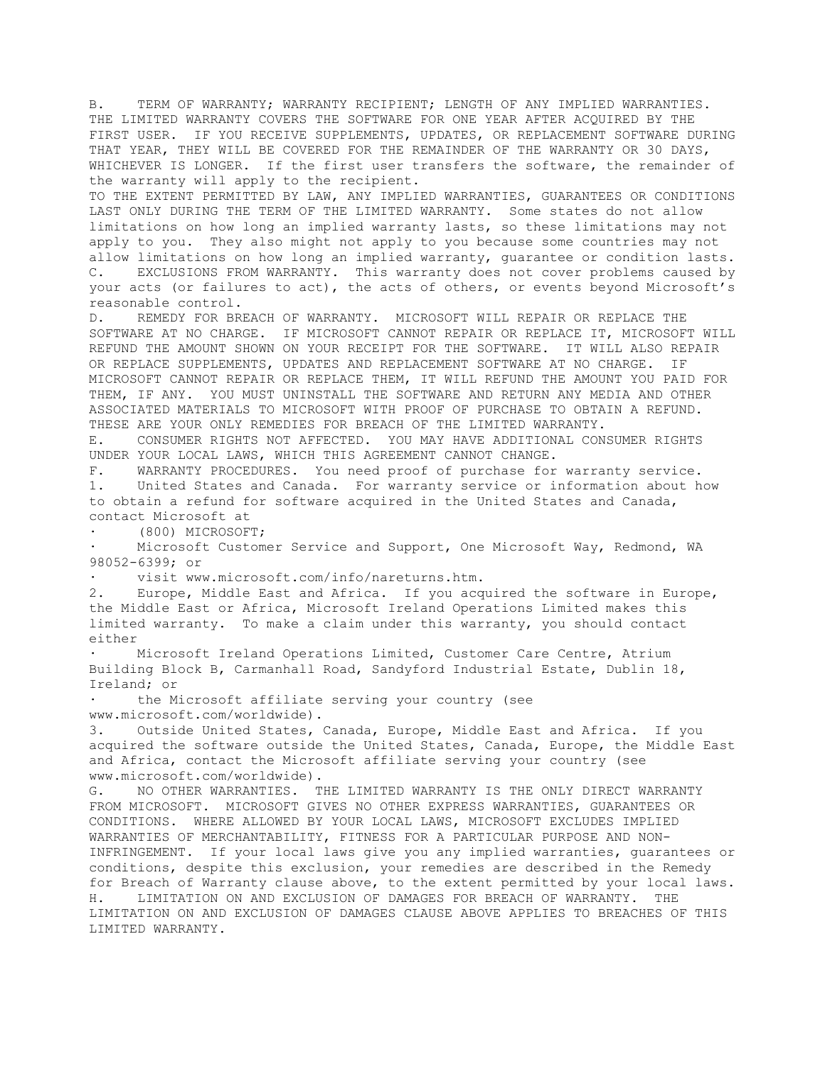B. TERM OF WARRANTY; WARRANTY RECIPIENT; LENGTH OF ANY IMPLIED WARRANTIES. THE LIMITED WARRANTY COVERS THE SOFTWARE FOR ONE YEAR AFTER ACQUIRED BY THE FIRST USER. IF YOU RECEIVE SUPPLEMENTS, UPDATES, OR REPLACEMENT SOFTWARE DURING THAT YEAR, THEY WILL BE COVERED FOR THE REMAINDER OF THE WARRANTY OR 30 DAYS, WHICHEVER IS LONGER. If the first user transfers the software, the remainder of the warranty will apply to the recipient.

TO THE EXTENT PERMITTED BY LAW, ANY IMPLIED WARRANTIES, GUARANTEES OR CONDITIONS LAST ONLY DURING THE TERM OF THE LIMITED WARRANTY. Some states do not allow limitations on how long an implied warranty lasts, so these limitations may not apply to you. They also might not apply to you because some countries may not allow limitations on how long an implied warranty, guarantee or condition lasts. C. EXCLUSIONS FROM WARRANTY. This warranty does not cover problems caused by your acts (or failures to act), the acts of others, or events beyond Microsoft's reasonable control.

D. REMEDY FOR BREACH OF WARRANTY. MICROSOFT WILL REPAIR OR REPLACE THE SOFTWARE AT NO CHARGE. IF MICROSOFT CANNOT REPAIR OR REPLACE IT, MICROSOFT WILL REFUND THE AMOUNT SHOWN ON YOUR RECEIPT FOR THE SOFTWARE. IT WILL ALSO REPAIR OR REPLACE SUPPLEMENTS, UPDATES AND REPLACEMENT SOFTWARE AT NO CHARGE. IF MICROSOFT CANNOT REPAIR OR REPLACE THEM, IT WILL REFUND THE AMOUNT YOU PAID FOR THEM, IF ANY. YOU MUST UNINSTALL THE SOFTWARE AND RETURN ANY MEDIA AND OTHER ASSOCIATED MATERIALS TO MICROSOFT WITH PROOF OF PURCHASE TO OBTAIN A REFUND. THESE ARE YOUR ONLY REMEDIES FOR BREACH OF THE LIMITED WARRANTY.

E. CONSUMER RIGHTS NOT AFFECTED. YOU MAY HAVE ADDITIONAL CONSUMER RIGHTS UNDER YOUR LOCAL LAWS, WHICH THIS AGREEMENT CANNOT CHANGE.

F. WARRANTY PROCEDURES. You need proof of purchase for warranty service. 1. United States and Canada. For warranty service or information about how to obtain a refund for software acquired in the United States and Canada, contact Microsoft at

· (800) MICROSOFT;

Microsoft Customer Service and Support, One Microsoft Way, Redmond, WA 98052-6399; or

visit www.microsoft.com/info/nareturns.htm.

2. Europe, Middle East and Africa. If you acquired the software in Europe, the Middle East or Africa, Microsoft Ireland Operations Limited makes this limited warranty. To make a claim under this warranty, you should contact either

Microsoft Ireland Operations Limited, Customer Care Centre, Atrium Building Block B, Carmanhall Road, Sandyford Industrial Estate, Dublin 18, Ireland; or

the Microsoft affiliate serving your country (see www.microsoft.com/worldwide).

3. Outside United States, Canada, Europe, Middle East and Africa. If you acquired the software outside the United States, Canada, Europe, the Middle East and Africa, contact the Microsoft affiliate serving your country (see www.microsoft.com/worldwide).

G. NO OTHER WARRANTIES. THE LIMITED WARRANTY IS THE ONLY DIRECT WARRANTY FROM MICROSOFT. MICROSOFT GIVES NO OTHER EXPRESS WARRANTIES, GUARANTEES OR CONDITIONS. WHERE ALLOWED BY YOUR LOCAL LAWS, MICROSOFT EXCLUDES IMPLIED WARRANTIES OF MERCHANTABILITY, FITNESS FOR A PARTICULAR PURPOSE AND NON-INFRINGEMENT. If your local laws give you any implied warranties, guarantees or conditions, despite this exclusion, your remedies are described in the Remedy for Breach of Warranty clause above, to the extent permitted by your local laws. H. LIMITATION ON AND EXCLUSION OF DAMAGES FOR BREACH OF WARRANTY. THE LIMITATION ON AND EXCLUSION OF DAMAGES CLAUSE ABOVE APPLIES TO BREACHES OF THIS LIMITED WARRANTY.